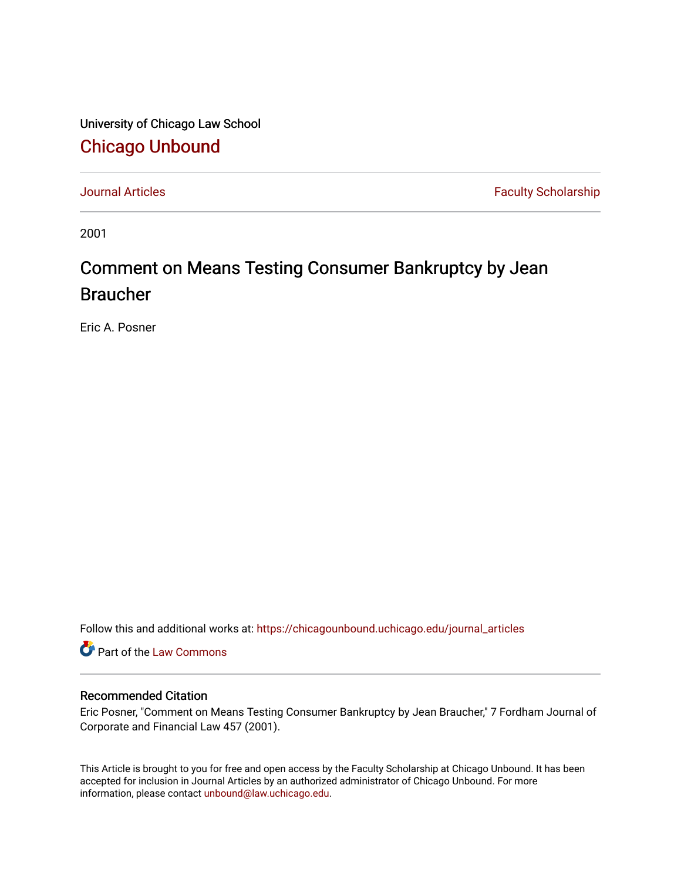University of Chicago Law School [Chicago Unbound](https://chicagounbound.uchicago.edu/)

[Journal Articles](https://chicagounbound.uchicago.edu/journal_articles) **Faculty Scholarship Faculty Scholarship** 

2001

# Comment on Means Testing Consumer Bankruptcy by Jean Braucher

Eric A. Posner

Follow this and additional works at: [https://chicagounbound.uchicago.edu/journal\\_articles](https://chicagounbound.uchicago.edu/journal_articles?utm_source=chicagounbound.uchicago.edu%2Fjournal_articles%2F1777&utm_medium=PDF&utm_campaign=PDFCoverPages) 

Part of the [Law Commons](http://network.bepress.com/hgg/discipline/578?utm_source=chicagounbound.uchicago.edu%2Fjournal_articles%2F1777&utm_medium=PDF&utm_campaign=PDFCoverPages)

#### Recommended Citation

Eric Posner, "Comment on Means Testing Consumer Bankruptcy by Jean Braucher," 7 Fordham Journal of Corporate and Financial Law 457 (2001).

This Article is brought to you for free and open access by the Faculty Scholarship at Chicago Unbound. It has been accepted for inclusion in Journal Articles by an authorized administrator of Chicago Unbound. For more information, please contact [unbound@law.uchicago.edu](mailto:unbound@law.uchicago.edu).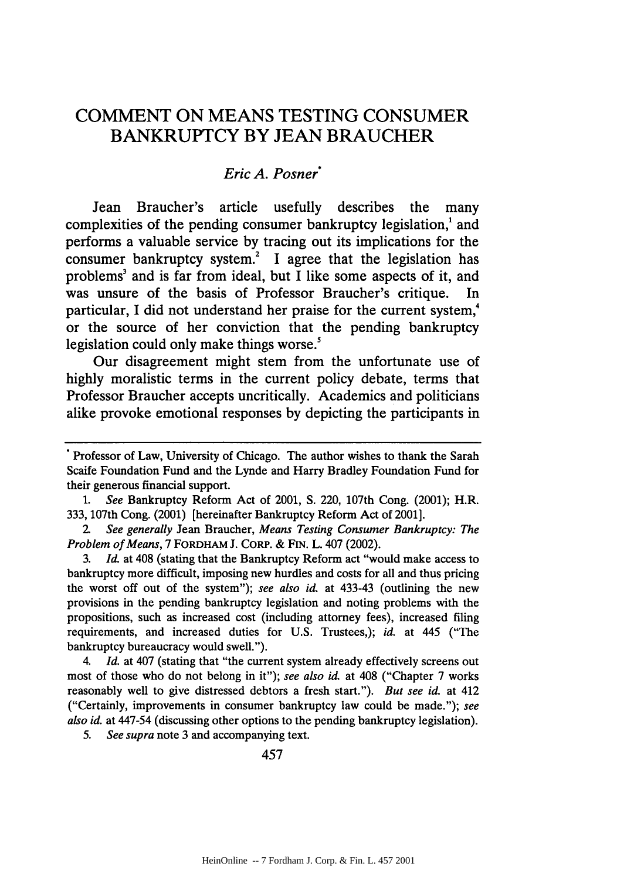## **COMMENT ON MEANS** TESTING **CONSUMER** BANKRUPTCY BY **JEAN** BRAUCHER

#### *Eric A. Posner\**

Jean Braucher's article usefully describes the many complexities of the pending consumer bankruptcy legislation,<sup>1</sup> and performs a valuable service by tracing out its implications for the consumer bankruptcy system.' I agree that the legislation has problems<sup>3</sup> and is far from ideal, but I like some aspects of it, and was unsure of the basis of Professor Braucher's critique. In particular, I did not understand her praise for the current system, or the source of her conviction that the pending bankruptcy legislation could only make things worse.'

Our disagreement might stem from the unfortunate use of highly moralistic terms in the current policy debate, terms that Professor Braucher accepts uncritically. Academics and politicians alike provoke emotional responses by depicting the participants in

*1. See* Bankruptcy Reform Act of 2001, S. 220, 107th Cong. (2001); H.R. 333, 107th Cong. (2001) [hereinafter Bankruptcy Reform Act of 2001].

*2. See generally* Jean Braucher, *Means Testing Consumer Bankruptcy: The Problem of Means,* 7 FORDHAM J. CORP. & FIN. L. 407 (2002).

3. *Id.* at 408 (stating that the Bankruptcy Reform act "would make access to bankruptcy more difficult, imposing new hurdles and costs for all and thus pricing the worst off out of the system"); *see also id.* at 433-43 (outlining the new provisions in the pending bankruptcy legislation and noting problems with the propositions, such as increased cost (including attorney fees), increased filing requirements, and increased duties for U.S. Trustees,); *id.* at 445 ("The bankruptcy bureaucracy would swell.").

4. *Id.* at 407 (stating that "the current system already effectively screens out most of those who do not belong in it"); *see also id.* at 408 ("Chapter 7 works reasonably well to give distressed debtors a fresh start."). *But see id.* at 412 ("Certainly, improvements in consumer bankruptcy law could be made."); *see also id.* at 447-54 (discussing other options to the pending bankruptcy legislation).

5. *See supra* note 3 and accompanying text.

457

**<sup>&</sup>quot;** Professor of Law, University of Chicago. The author wishes to thank the Sarah Scaife Foundation Fund and the Lynde and Harry Bradley Foundation Fund for their generous financial support.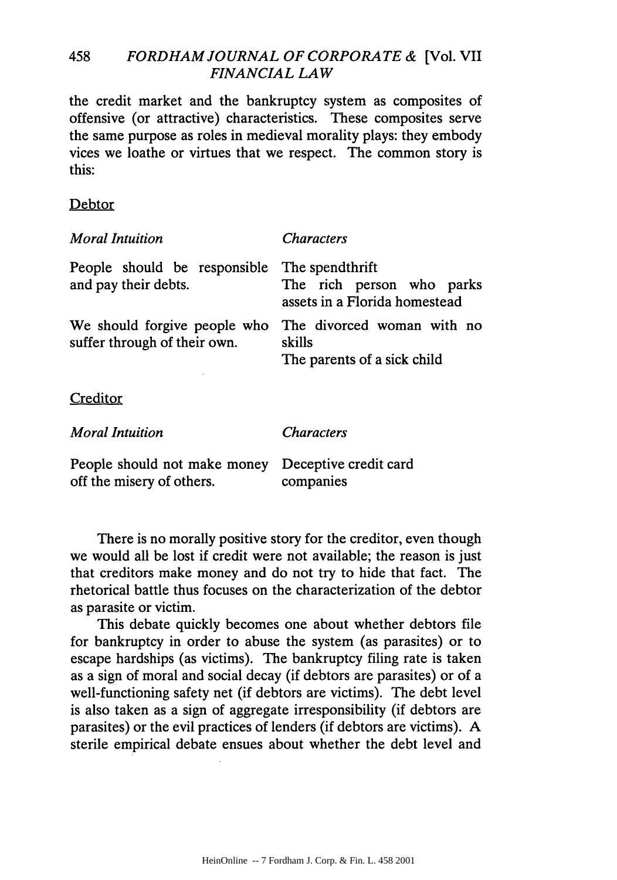#### 458 *FORDHAM JOURNAL OF CORPORATE* **&** [Vol. VII *FINANCIAL LAW*

the credit market and the bankruptcy system as composites of offensive (or attractive) characteristics. These composites serve the same purpose as roles in medieval morality plays: they embody vices we loathe or virtues that we respect. The common story is this:

#### Debtor

| <b>Moral Intuition</b>                                       | <i>Characters</i>                                                             |
|--------------------------------------------------------------|-------------------------------------------------------------------------------|
| People should be responsible<br>and pay their debts.         | The spendthrift<br>The rich person who parks<br>assets in a Florida homestead |
| We should forgive people who<br>suffer through of their own. | The divorced woman with no<br>skills<br>The parents of a sick child           |
| Creditor                                                     |                                                                               |
| <b>Moral Intuition</b>                                       | <i><b>Characters</b></i>                                                      |
| People should not make money<br>off the misery of others.    | Deceptive credit card<br>companies                                            |

There is no morally positive story for the creditor, even though we would all be lost if credit were not available; the reason is just that creditors make money and do not try to hide that fact. The rhetorical battle thus focuses on the characterization of the debtor as parasite or victim.

This debate quickly becomes one about whether debtors file for bankruptcy in order to abuse the system (as parasites) or to escape hardships (as victims). The bankruptcy filing rate is taken as a sign of moral and social decay (if debtors are parasites) or of a well-functioning safety net (if debtors are victims). The debt level is also taken as a sign of aggregate irresponsibility (if debtors are parasites) or the evil practices of lenders (if debtors are victims). A sterile empirical debate ensues about whether the debt level and

HeinOnline -- 7 Fordham J. Corp. & Fin. L. 458 2001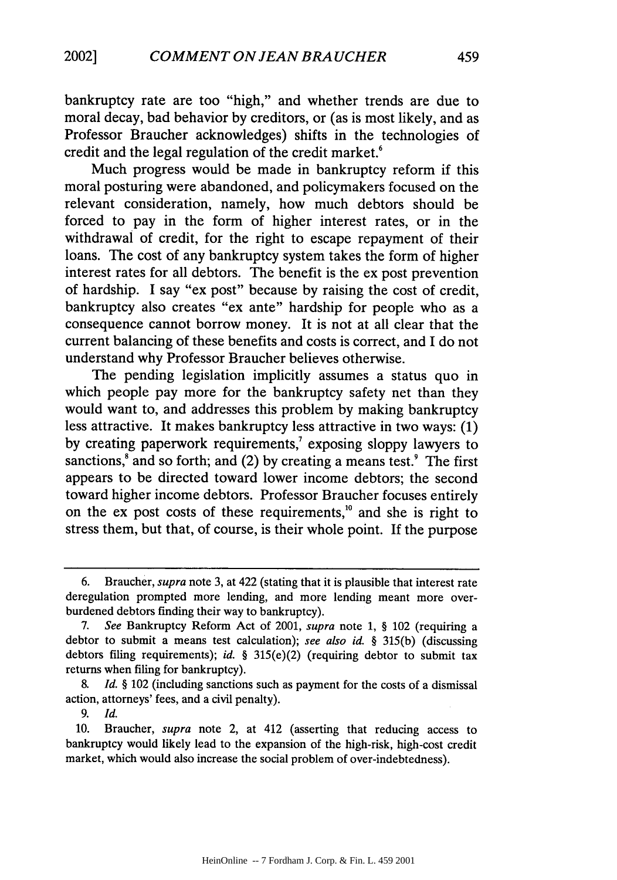bankruptcy rate are too "high," and whether trends are due to moral decay, bad behavior by creditors, or (as is most likely, and as Professor Braucher acknowledges) shifts in the technologies of credit and the legal regulation of the credit market.<sup>6</sup>

Much progress would be made in bankruptcy reform if this moral posturing were abandoned, and policymakers focused on the relevant consideration, namely, how much debtors should be forced to pay in the form of higher interest rates, or in the withdrawal of credit, for the right to escape repayment of their loans. The cost of any bankruptcy system takes the form of higher interest rates for all debtors. The benefit is the ex post prevention of hardship. I say "ex post" because by raising the cost of credit, bankruptcy also creates "ex ante" hardship for people who as a consequence cannot borrow money. It is not at all clear that the current balancing of these benefits and costs is correct, and I do not understand why Professor Braucher believes otherwise.

The pending legislation implicitly assumes a status quo in which people pay more for the bankruptcy safety net than they would want to, and addresses this problem by making bankruptcy less attractive. It makes bankruptcy less attractive in two ways: (1) by creating paperwork requirements, $\alpha$  exposing sloppy lawyers to sanctions, $^8$  and so forth; and (2) by creating a means test. $^9$  The first appears to be directed toward lower income debtors; the second toward higher income debtors. Professor Braucher focuses entirely on the ex post costs of these requirements," and she is right to stress them, but that, of course, is their whole point. If the purpose

*9. Id.*

<sup>6.</sup> Braucher, *supra* note 3, at 422 (stating that it is plausible that interest rate deregulation prompted more lending, and more lending meant more overburdened debtors finding their way to bankruptcy).

<sup>7.</sup> *See* Bankruptcy Reform Act of 2001, *supra* note **1,** § 102 (requiring a debtor to submit a means test calculation); *see also id. §* 315(b) (discussing debtors filing requirements); *id.* § 315(e)(2) (requiring debtor to submit tax returns when filing for bankruptcy).

*<sup>8.</sup> Id. §* 102 (including sanctions such as payment for the costs of a dismissal action, attorneys' fees, and a civil penalty).

<sup>10.</sup> Braucher, *supra* note 2, at 412 (asserting that reducing access to bankruptcy would likely lead to the expansion of the high-risk, high-cost credit market, which would also increase the social problem of over-indebtedness).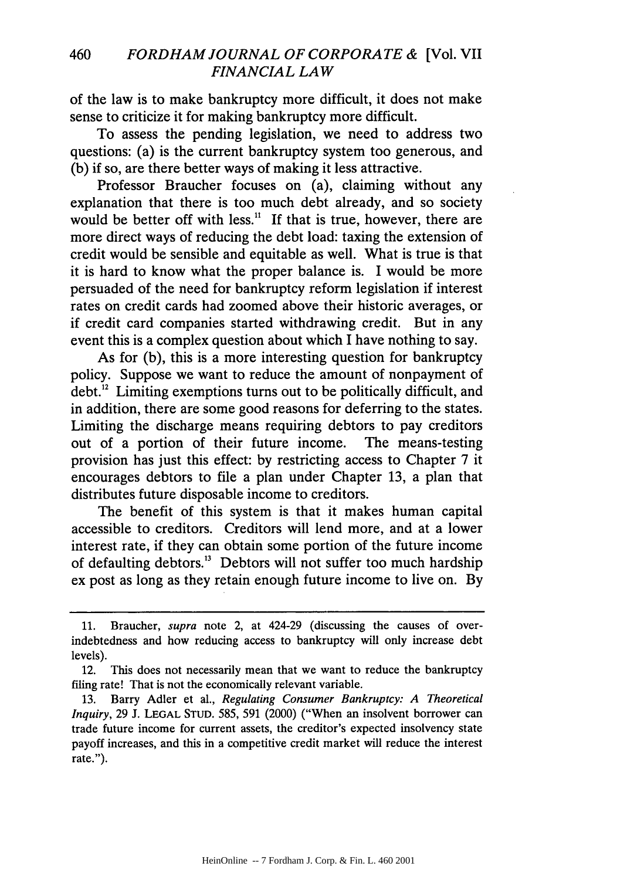of the law is to make bankruptcy more difficult, it does not make sense to criticize it for making bankruptcy more difficult.

To assess the pending legislation, we need to address two questions: (a) is the current bankruptcy system too generous, and (b) if so, are there better ways of making it less attractive.

Professor Braucher focuses on (a), claiming without any explanation that there is too much debt already, and so society would be better off with less. $11$  If that is true, however, there are more direct ways of reducing the debt load: taxing the extension of credit would be sensible and equitable as well. What is true is that it is hard to know what the proper balance is. I would be more persuaded of the need for bankruptcy reform legislation if interest rates on credit cards had zoomed above their historic averages, or if credit card companies started withdrawing credit. But in any event this is a complex question about which I have nothing to say.

As for (b), this is a more interesting question for bankruptcy policy. Suppose we want to reduce the amount of nonpayment of  $\text{debt.}^{\text{12}}$  Limiting exemptions turns out to be politically difficult, and in addition, there are some good reasons for deferring to the states. Limiting the discharge means requiring debtors to pay creditors out of a portion of their future income. The means-testing provision has just this effect: by restricting access to Chapter 7 it encourages debtors to file a plan under Chapter 13, a plan that distributes future disposable income to creditors.

The benefit of this system is that it makes human capital accessible to creditors. Creditors will lend more, and at a lower interest rate, if they can obtain some portion of the future income of defaulting debtors.'3 Debtors will not suffer too much hardship ex post as long as they retain enough future income to live on. By

<sup>11.</sup> Braucher, *supra* note 2, at 424-29 (discussing the causes of overindebtedness and how reducing access to bankruptcy will only increase debt levels).

<sup>12.</sup> This does not necessarily mean that we want to reduce the bankruptcy filing rate! That is not the economically relevant variable.

<sup>13.</sup> Barry Adler et al., *Regulating Consumer Bankruptcy: A Theoretical Inquiry,* 29 J. LEGAL STUD. 585, 591 (2000) ("When an insolvent borrower can trade future income for current assets, the creditor's expected insolvency state payoff increases, and this in a competitive credit market will reduce the interest rate.").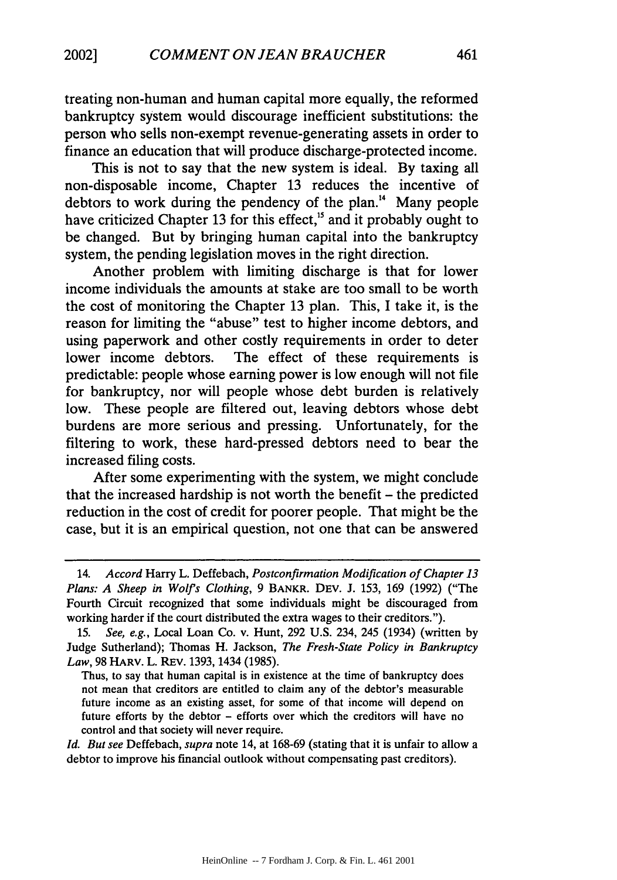treating non-human and human capital more equally, the reformed bankruptcy system would discourage inefficient substitutions: the person who sells non-exempt revenue-generating assets in order to finance an education that will produce discharge-protected income.

This is not to say that the new system is ideal. By taxing all non-disposable income, Chapter 13 reduces the incentive of debtors to work during the pendency of the plan.<sup>14</sup> Many people have criticized Chapter 13 for this effect,<sup>15</sup> and it probably ought to be changed. But by bringing human capital into the bankruptcy system, the pending legislation moves in the right direction.

Another problem with limiting discharge is that for lower income individuals the amounts at stake are too small to be worth the cost of monitoring the Chapter 13 plan. This, I take it, is the reason for limiting the "abuse" test to higher income debtors, and using paperwork and other costly requirements in order to deter lower income debtors. The effect of these requirements is predictable: people whose earning power is low enough will not file for bankruptcy, nor will people whose debt burden is relatively low. These people are filtered out, leaving debtors whose debt burdens are more serious and pressing. Unfortunately, for the filtering to work, these hard-pressed debtors need to bear the increased filing costs.

After some experimenting with the system, we might conclude that the increased hardship is not worth the benefit – the predicted reduction in the cost of credit for poorer people. That might be the case, but it is an empirical question, not one that can be answered

Thus, to say that human capital is in existence at the time of bankruptcy does not mean that creditors are entitled to claim any of the debtor's measurable future income as an existing asset, for some of that income will depend on future efforts by the debtor - efforts over which the creditors will have no control and that society will never require.

*Id. But see* Deffebach, *supra* note 14, at 168-69 (stating that it is unfair to allow a debtor to improve his financial outlook without compensating past creditors).

<sup>14.</sup> *Accord* Harry L. Deffebach, *Postconfirmation Modification of Chapter 13 Plans: A Sheep in Wolfs Clothing,* 9 BANKR. DEv. J. 153, 169 (1992) ("The Fourth Circuit recognized that some individuals might be discouraged from working harder if the court distributed the extra wages to their creditors.").

*<sup>15.</sup> See, e.g.,* Local Loan Co. v. Hunt, 292 U.S. 234, 245 (1934) (written by Judge Sutherland); Thomas H. Jackson, *The Fresh-State Policy in Bankruptcy Law,* 98 HARV. L. REv. 1393, 1434 (1985).